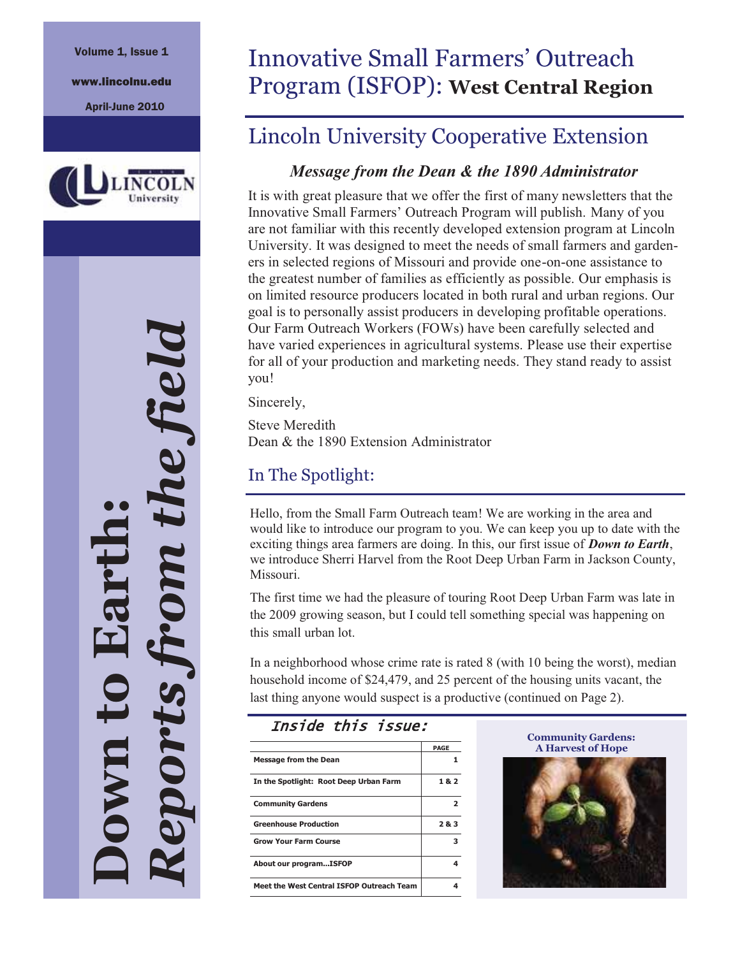#### Volume 1, Issue 1

www.lincolnu.edu

April-June 2010



*Reports from the field*  re field **Down to Earth:**  ports n

# Innovative Small Farmers' Outreach Program (ISFOP): **West Central Region**

### Lincoln University Cooperative Extension

#### *Message from the Dean & the 1890 Administrator*

It is with great pleasure that we offer the first of many newsletters that the Innovative Small Farmers' Outreach Program will publish. Many of you are not familiar with this recently developed extension program at Lincoln University. It was designed to meet the needs of small farmers and gardeners in selected regions of Missouri and provide one-on-one assistance to the greatest number of families as efficiently as possible. Our emphasis is on limited resource producers located in both rural and urban regions. Our goal is to personally assist producers in developing profitable operations. Our Farm Outreach Workers (FOWs) have been carefully selected and have varied experiences in agricultural systems. Please use their expertise for all of your production and marketing needs. They stand ready to assist you!

Sincerely,

Steve Meredith Dean & the 1890 Extension Administrator

#### In The Spotlight:

Hello, from the Small Farm Outreach team! We are working in the area and would like to introduce our program to you. We can keep you up to date with the exciting things area farmers are doing. In this, our first issue of *Down to Earth*, we introduce Sherri Harvel from the Root Deep Urban Farm in Jackson County, Missouri.

The first time we had the pleasure of touring Root Deep Urban Farm was late in the 2009 growing season, but I could tell something special was happening on this small urban lot.

In a neighborhood whose crime rate is rated 8 (with 10 being the worst), median household income of \$24,479, and 25 percent of the housing units vacant, the last thing anyone would suspect is a productive (continued on Page 2).

#### Inside this issue:

|                                           | <b>PAGE</b> |
|-------------------------------------------|-------------|
| <b>Message from the Dean</b>              |             |
| In the Spotlight: Root Deep Urban Farm    | 182         |
| <b>Community Gardens</b>                  | э.          |
| <b>Greenhouse Production</b>              | 2&3         |
| <b>Grow Your Farm Course</b>              | з           |
| About our programISFOP                    |             |
| Meet the West Central ISFOP Outreach Team |             |

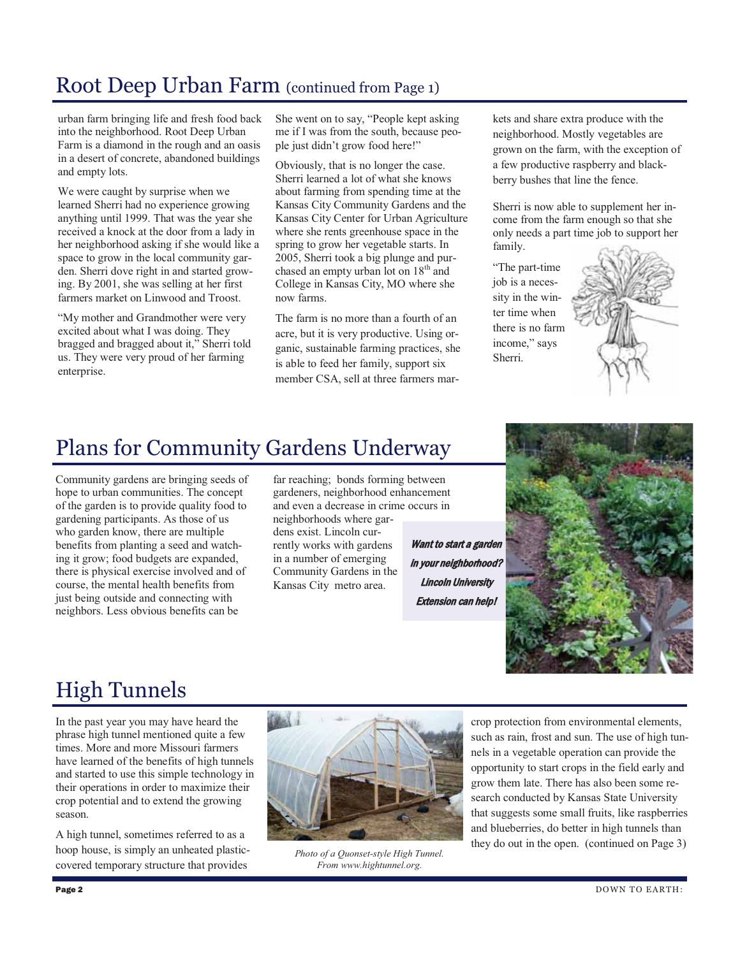#### Root Deep Urban Farm (continued from Page 1)

urban farm bringing life and fresh food back into the neighborhood. Root Deep Urban Farm is a diamond in the rough and an oasis in a desert of concrete, abandoned buildings and empty lots.

We were caught by surprise when we learned Sherri had no experience growing anything until 1999. That was the year she received a knock at the door from a lady in her neighborhood asking if she would like a space to grow in the local community garden. Sherri dove right in and started growing. By 2001, she was selling at her first farmers market on Linwood and Troost.

"My mother and Grandmother were very excited about what I was doing. They bragged and bragged about it," Sherri told us. They were very proud of her farming enterprise.

She went on to say, "People kept asking me if I was from the south, because people just didn't grow food here!"

Obviously, that is no longer the case. Sherri learned a lot of what she knows about farming from spending time at the Kansas City Community Gardens and the Kansas City Center for Urban Agriculture where she rents greenhouse space in the spring to grow her vegetable starts. In 2005, Sherri took a big plunge and purchased an empty urban lot on  $18<sup>th</sup>$  and College in Kansas City, MO where she now farms.

The farm is no more than a fourth of an acre, but it is very productive. Using organic, sustainable farming practices, she is able to feed her family, support six member CSA, sell at three farmers markets and share extra produce with the neighborhood. Mostly vegetables are grown on the farm, with the exception of a few productive raspberry and blackberry bushes that line the fence.

Sherri is now able to supplement her income from the farm enough so that she only needs a part time job to support her family.

"The part-time job is a necessity in the winter time when there is no farm income," says Sherri.



#### Plans for Community Gardens Underway

Community gardens are bringing seeds of hope to urban communities. The concept of the garden is to provide quality food to gardening participants. As those of us who garden know, there are multiple benefits from planting a seed and watching it grow; food budgets are expanded, there is physical exercise involved and of course, the mental health benefits from just being outside and connecting with neighbors. Less obvious benefits can be

far reaching; bonds forming between gardeners, neighborhood enhancement and even a decrease in crime occurs in neighborhoods where gardens exist. Lincoln currently works with gardens in a number of emerging Community Gardens in the Kansas City metro area.

Want to start a garden in your neighborhood? Lincoln University Extension can help!



# High Tunnels

In the past year you may have heard the phrase high tunnel mentioned quite a few times. More and more Missouri farmers have learned of the benefits of high tunnels and started to use this simple technology in their operations in order to maximize their crop potential and to extend the growing season.

A high tunnel, sometimes referred to as a hoop house, is simply an unheated plasticcovered temporary structure that provides



*Photo of a Quonset-style High Tunnel. From www.hightunnel.org.* 

crop protection from environmental elements, such as rain, frost and sun. The use of high tunnels in a vegetable operation can provide the opportunity to start crops in the field early and grow them late. There has also been some research conducted by Kansas State University that suggests some small fruits, like raspberries and blueberries, do better in high tunnels than they do out in the open. (continued on Page 3)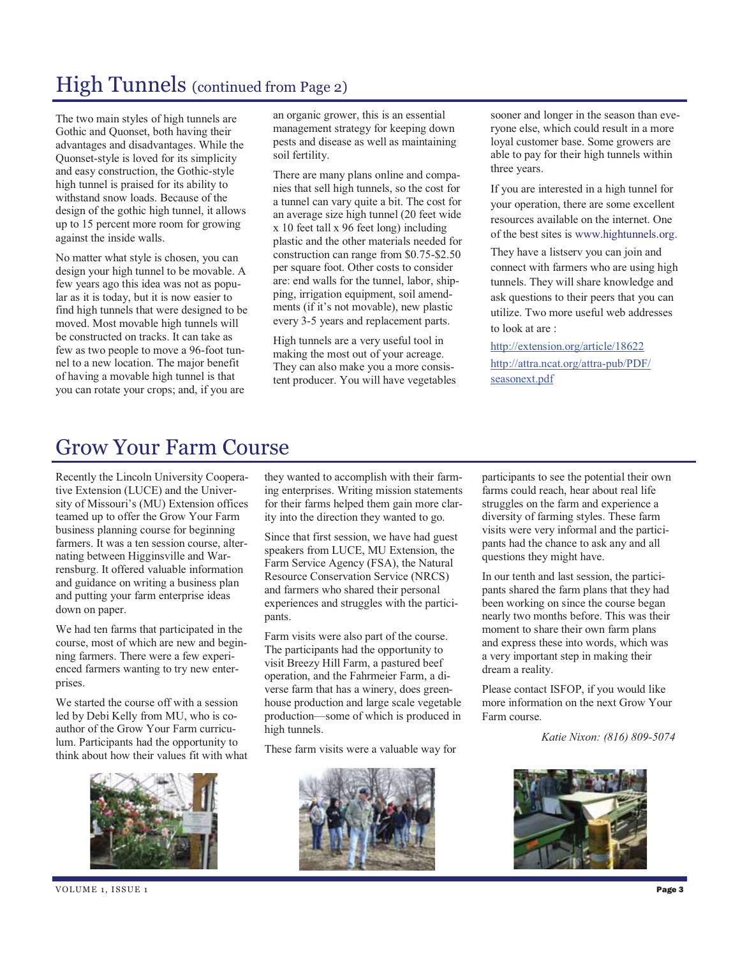## High Tunnels (continued from Page 2)

The two main styles of high tunnels are Gothic and Quonset, both having their advantages and disadvantages. While the Quonset-style is loved for its simplicity and easy construction, the Gothic-style high tunnel is praised for its ability to withstand snow loads. Because of the design of the gothic high tunnel, it allows up to 15 percent more room for growing against the inside walls.

No matter what style is chosen, you can design your high tunnel to be movable. A few years ago this idea was not as popular as it is today, but it is now easier to find high tunnels that were designed to be moved. Most movable high tunnels will be constructed on tracks. It can take as few as two people to move a 96-foot tunnel to a new location. The major benefit of having a movable high tunnel is that you can rotate your crops; and, if you are

an organic grower, this is an essential management strategy for keeping down pests and disease as well as maintaining soil fertility.

There are many plans online and companies that sell high tunnels, so the cost for a tunnel can vary quite a bit. The cost for an average size high tunnel (20 feet wide x 10 feet tall x 96 feet long) including plastic and the other materials needed for construction can range from \$0.75-\$2.50 per square foot. Other costs to consider are: end walls for the tunnel, labor, shipping, irrigation equipment, soil amendments (if it's not movable), new plastic every 3-5 years and replacement parts.

High tunnels are a very useful tool in making the most out of your acreage. They can also make you a more consistent producer. You will have vegetables sooner and longer in the season than everyone else, which could result in a more loyal customer base. Some growers are able to pay for their high tunnels within three years.

If you are interested in a high tunnel for your operation, there are some excellent resources available on the internet. One of the best sites is www.hightunnels.org.

They have a listserv you can join and connect with farmers who are using high tunnels. They will share knowledge and ask questions to their peers that you can utilize. Two more useful web addresses to look at are :

http://extension.org/article/18622 http://attra.ncat.org/attra-pub/PDF/ seasonext.pdf

#### Grow Your Farm Course

Recently the Lincoln University Cooperative Extension (LUCE) and the University of Missouri's (MU) Extension offices teamed up to offer the Grow Your Farm business planning course for beginning farmers. It was a ten session course, alternating between Higginsville and Warrensburg. It offered valuable information and guidance on writing a business plan and putting your farm enterprise ideas down on paper.

We had ten farms that participated in the course, most of which are new and beginning farmers. There were a few experienced farmers wanting to try new enterprises.

We started the course off with a session led by Debi Kelly from MU, who is coauthor of the Grow Your Farm curriculum. Participants had the opportunity to think about how their values fit with what



they wanted to accomplish with their farming enterprises. Writing mission statements for their farms helped them gain more clarity into the direction they wanted to go.

Since that first session, we have had guest speakers from LUCE, MU Extension, the Farm Service Agency (FSA), the Natural Resource Conservation Service (NRCS) and farmers who shared their personal experiences and struggles with the participants.

Farm visits were also part of the course. The participants had the opportunity to visit Breezy Hill Farm, a pastured beef operation, and the Fahrmeier Farm, a diverse farm that has a winery, does greenhouse production and large scale vegetable production—some of which is produced in high tunnels.

These farm visits were a valuable way for



participants to see the potential their own farms could reach, hear about real life struggles on the farm and experience a diversity of farming styles. These farm visits were very informal and the participants had the chance to ask any and all questions they might have.

In our tenth and last session, the participants shared the farm plans that they had been working on since the course began nearly two months before. This was their moment to share their own farm plans and express these into words, which was a very important step in making their dream a reality.

Please contact ISFOP, if you would like more information on the next Grow Your Farm course.

*Katie Nixon: (816) 809-5074*